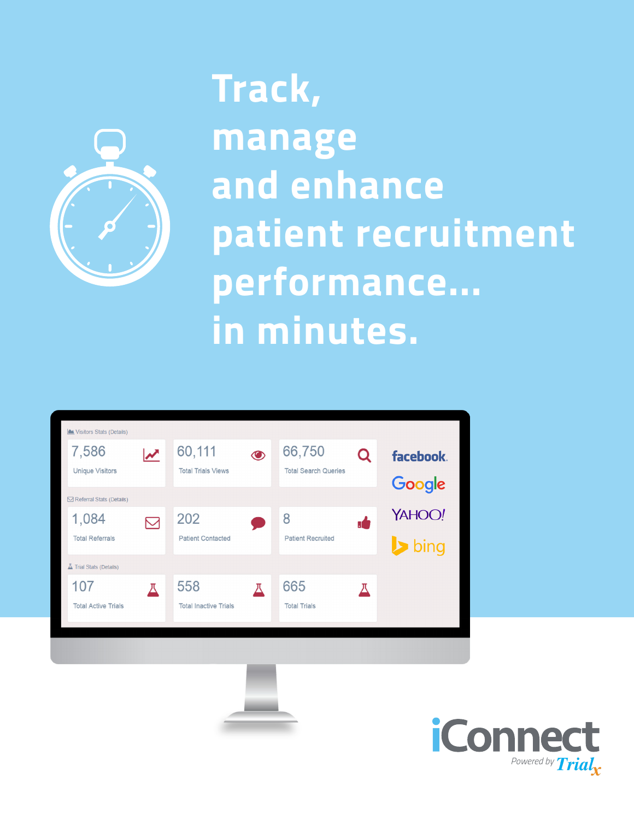

## **Track, manage and enhance patient recruitment performance... in minutes.**